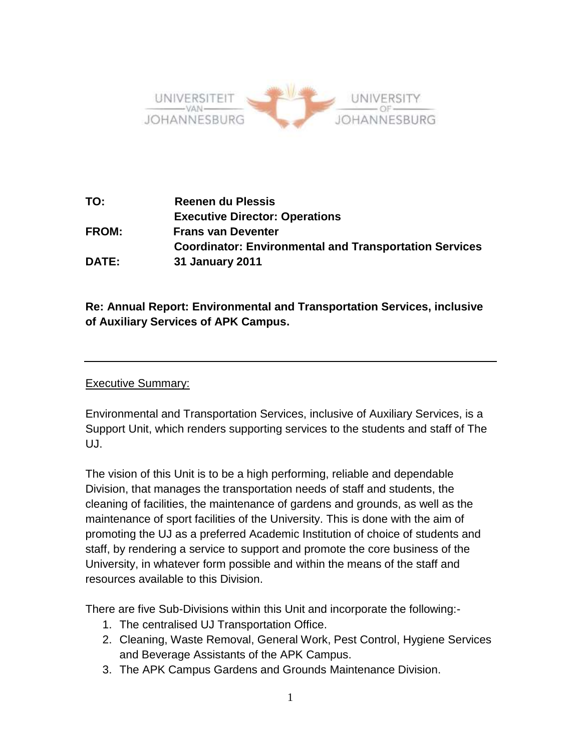

**TO: Reenen du Plessis Executive Director: Operations FROM: Frans van Deventer Coordinator: Environmental and Transportation Services DATE: 31 January 2011**

**Re: Annual Report: Environmental and Transportation Services, inclusive of Auxiliary Services of APK Campus.**

# Executive Summary:

Environmental and Transportation Services, inclusive of Auxiliary Services, is a Support Unit, which renders supporting services to the students and staff of The UJ.

The vision of this Unit is to be a high performing, reliable and dependable Division, that manages the transportation needs of staff and students, the cleaning of facilities, the maintenance of gardens and grounds, as well as the maintenance of sport facilities of the University. This is done with the aim of promoting the UJ as a preferred Academic Institution of choice of students and staff, by rendering a service to support and promote the core business of the University, in whatever form possible and within the means of the staff and resources available to this Division.

There are five Sub-Divisions within this Unit and incorporate the following:-

- 1. The centralised UJ Transportation Office.
- 2. Cleaning, Waste Removal, General Work, Pest Control, Hygiene Services and Beverage Assistants of the APK Campus.
- 3. The APK Campus Gardens and Grounds Maintenance Division.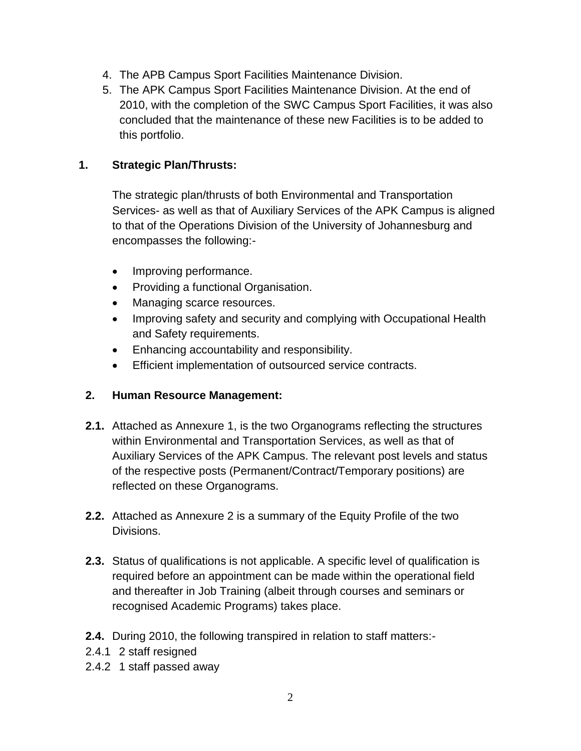- 4. The APB Campus Sport Facilities Maintenance Division.
- 5. The APK Campus Sport Facilities Maintenance Division. At the end of 2010, with the completion of the SWC Campus Sport Facilities, it was also concluded that the maintenance of these new Facilities is to be added to this portfolio.

# **1. Strategic Plan/Thrusts:**

The strategic plan/thrusts of both Environmental and Transportation Services- as well as that of Auxiliary Services of the APK Campus is aligned to that of the Operations Division of the University of Johannesburg and encompasses the following:-

- Improving performance.
- Providing a functional Organisation.
- Managing scarce resources.
- Improving safety and security and complying with Occupational Health and Safety requirements.
- Enhancing accountability and responsibility.
- Efficient implementation of outsourced service contracts.

# **2. Human Resource Management:**

- **2.1.** Attached as Annexure 1, is the two Organograms reflecting the structures within Environmental and Transportation Services, as well as that of Auxiliary Services of the APK Campus. The relevant post levels and status of the respective posts (Permanent/Contract/Temporary positions) are reflected on these Organograms.
- **2.2.** Attached as Annexure 2 is a summary of the Equity Profile of the two Divisions.
- **2.3.** Status of qualifications is not applicable. A specific level of qualification is required before an appointment can be made within the operational field and thereafter in Job Training (albeit through courses and seminars or recognised Academic Programs) takes place.
- **2.4.** During 2010, the following transpired in relation to staff matters:-
- 2.4.1 2 staff resigned
- 2.4.2 1 staff passed away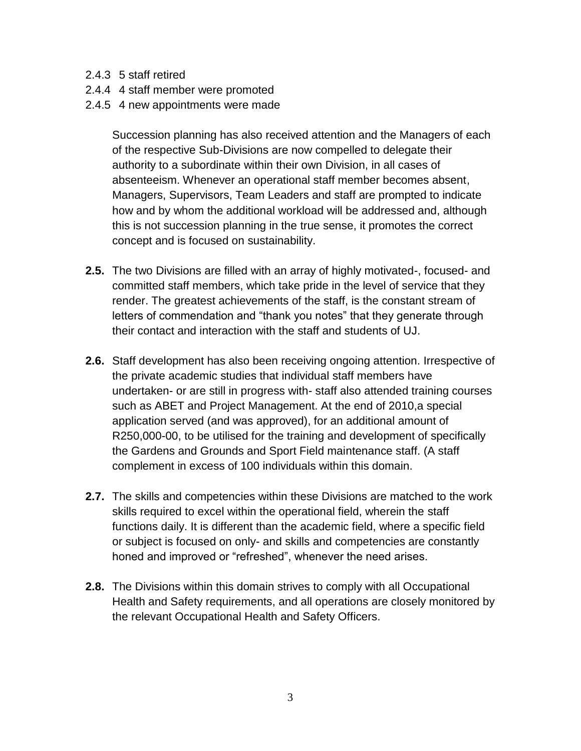- 2.4.3 5 staff retired
- 2.4.4 4 staff member were promoted
- 2.4.5 4 new appointments were made

Succession planning has also received attention and the Managers of each of the respective Sub-Divisions are now compelled to delegate their authority to a subordinate within their own Division, in all cases of absenteeism. Whenever an operational staff member becomes absent, Managers, Supervisors, Team Leaders and staff are prompted to indicate how and by whom the additional workload will be addressed and, although this is not succession planning in the true sense, it promotes the correct concept and is focused on sustainability.

- **2.5.** The two Divisions are filled with an array of highly motivated-, focused- and committed staff members, which take pride in the level of service that they render. The greatest achievements of the staff, is the constant stream of letters of commendation and "thank you notes" that they generate through their contact and interaction with the staff and students of UJ.
- **2.6.** Staff development has also been receiving ongoing attention. Irrespective of the private academic studies that individual staff members have undertaken- or are still in progress with- staff also attended training courses such as ABET and Project Management. At the end of 2010,a special application served (and was approved), for an additional amount of R250,000-00, to be utilised for the training and development of specifically the Gardens and Grounds and Sport Field maintenance staff. (A staff complement in excess of 100 individuals within this domain.
- **2.7.** The skills and competencies within these Divisions are matched to the work skills required to excel within the operational field, wherein the staff functions daily. It is different than the academic field, where a specific field or subject is focused on only- and skills and competencies are constantly honed and improved or "refreshed", whenever the need arises.
- **2.8.** The Divisions within this domain strives to comply with all Occupational Health and Safety requirements, and all operations are closely monitored by the relevant Occupational Health and Safety Officers.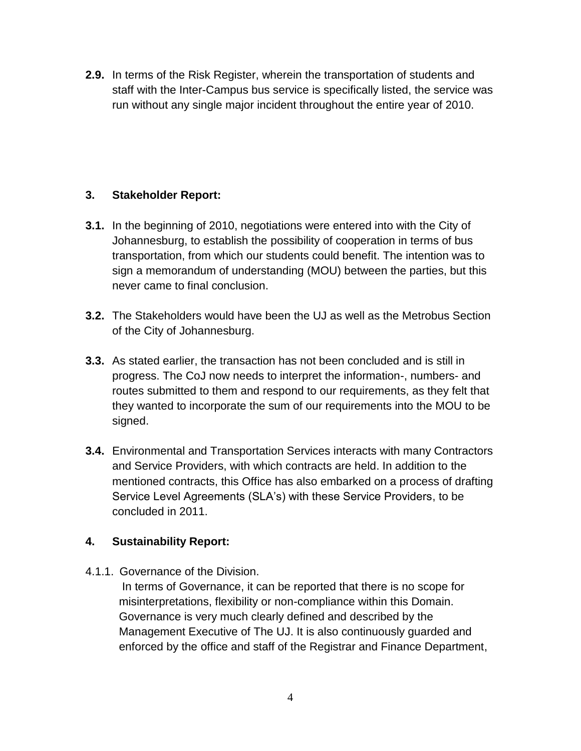**2.9.** In terms of the Risk Register, wherein the transportation of students and staff with the Inter-Campus bus service is specifically listed, the service was run without any single major incident throughout the entire year of 2010.

# **3. Stakeholder Report:**

- **3.1.** In the beginning of 2010, negotiations were entered into with the City of Johannesburg, to establish the possibility of cooperation in terms of bus transportation, from which our students could benefit. The intention was to sign a memorandum of understanding (MOU) between the parties, but this never came to final conclusion.
- **3.2.** The Stakeholders would have been the UJ as well as the Metrobus Section of the City of Johannesburg.
- **3.3.** As stated earlier, the transaction has not been concluded and is still in progress. The CoJ now needs to interpret the information-, numbers- and routes submitted to them and respond to our requirements, as they felt that they wanted to incorporate the sum of our requirements into the MOU to be signed.
- **3.4.** Environmental and Transportation Services interacts with many Contractors and Service Providers, with which contracts are held. In addition to the mentioned contracts, this Office has also embarked on a process of drafting Service Level Agreements (SLA's) with these Service Providers, to be concluded in 2011.

# **4. Sustainability Report:**

4.1.1. Governance of the Division.

In terms of Governance, it can be reported that there is no scope for misinterpretations, flexibility or non-compliance within this Domain. Governance is very much clearly defined and described by the Management Executive of The UJ. It is also continuously guarded and enforced by the office and staff of the Registrar and Finance Department,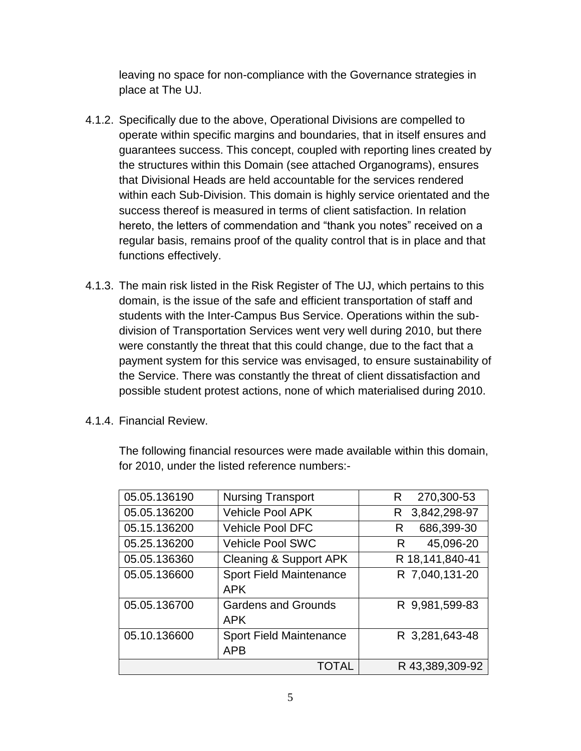leaving no space for non-compliance with the Governance strategies in place at The UJ.

- 4.1.2. Specifically due to the above, Operational Divisions are compelled to operate within specific margins and boundaries, that in itself ensures and guarantees success. This concept, coupled with reporting lines created by the structures within this Domain (see attached Organograms), ensures that Divisional Heads are held accountable for the services rendered within each Sub-Division. This domain is highly service orientated and the success thereof is measured in terms of client satisfaction. In relation hereto, the letters of commendation and "thank you notes" received on a regular basis, remains proof of the quality control that is in place and that functions effectively.
- 4.1.3. The main risk listed in the Risk Register of The UJ, which pertains to this domain, is the issue of the safe and efficient transportation of staff and students with the Inter-Campus Bus Service. Operations within the subdivision of Transportation Services went very well during 2010, but there were constantly the threat that this could change, due to the fact that a payment system for this service was envisaged, to ensure sustainability of the Service. There was constantly the threat of client dissatisfaction and possible student protest actions, none of which materialised during 2010.
- 4.1.4. Financial Review.

The following financial resources were made available within this domain, for 2010, under the listed reference numbers:-

| 05.05.136190 | <b>Nursing Transport</b>                     | 270,300-53<br>R    |
|--------------|----------------------------------------------|--------------------|
| 05.05.136200 | <b>Vehicle Pool APK</b>                      | 3,842,298-97<br>R. |
| 05.15.136200 | <b>Vehicle Pool DFC</b>                      | 686,399-30<br>R    |
| 05.25.136200 | <b>Vehicle Pool SWC</b>                      | 45,096-20<br>R     |
| 05.05.136360 | <b>Cleaning &amp; Support APK</b>            | R 18,141,840-41    |
| 05.05.136600 | <b>Sport Field Maintenance</b><br><b>APK</b> | R 7,040,131-20     |
| 05.05.136700 | <b>Gardens and Grounds</b><br><b>APK</b>     | R 9,981,599-83     |
| 05.10.136600 | <b>Sport Field Maintenance</b><br><b>APB</b> | R 3,281,643-48     |
| TOTAL        |                                              | R 43,389,309-92    |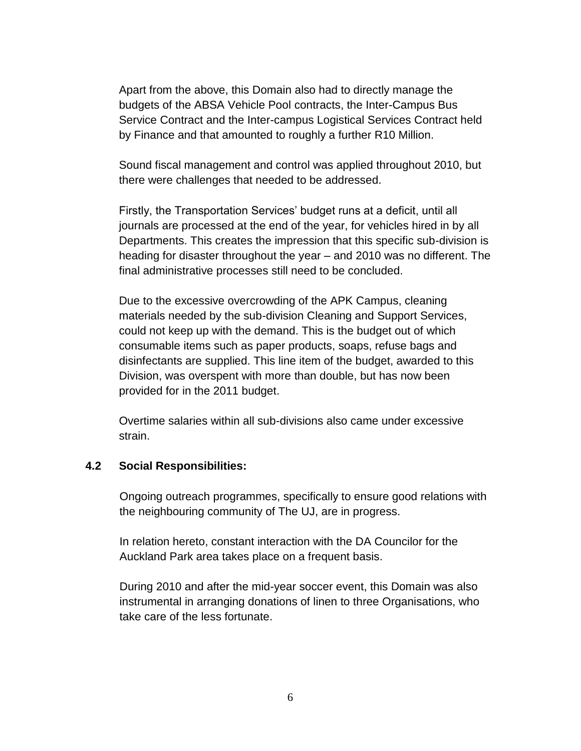Apart from the above, this Domain also had to directly manage the budgets of the ABSA Vehicle Pool contracts, the Inter-Campus Bus Service Contract and the Inter-campus Logistical Services Contract held by Finance and that amounted to roughly a further R10 Million.

Sound fiscal management and control was applied throughout 2010, but there were challenges that needed to be addressed.

Firstly, the Transportation Services' budget runs at a deficit, until all journals are processed at the end of the year, for vehicles hired in by all Departments. This creates the impression that this specific sub-division is heading for disaster throughout the year – and 2010 was no different. The final administrative processes still need to be concluded.

Due to the excessive overcrowding of the APK Campus, cleaning materials needed by the sub-division Cleaning and Support Services, could not keep up with the demand. This is the budget out of which consumable items such as paper products, soaps, refuse bags and disinfectants are supplied. This line item of the budget, awarded to this Division, was overspent with more than double, but has now been provided for in the 2011 budget.

Overtime salaries within all sub-divisions also came under excessive strain.

#### **4.2 Social Responsibilities:**

Ongoing outreach programmes, specifically to ensure good relations with the neighbouring community of The UJ, are in progress.

In relation hereto, constant interaction with the DA Councilor for the Auckland Park area takes place on a frequent basis.

During 2010 and after the mid-year soccer event, this Domain was also instrumental in arranging donations of linen to three Organisations, who take care of the less fortunate.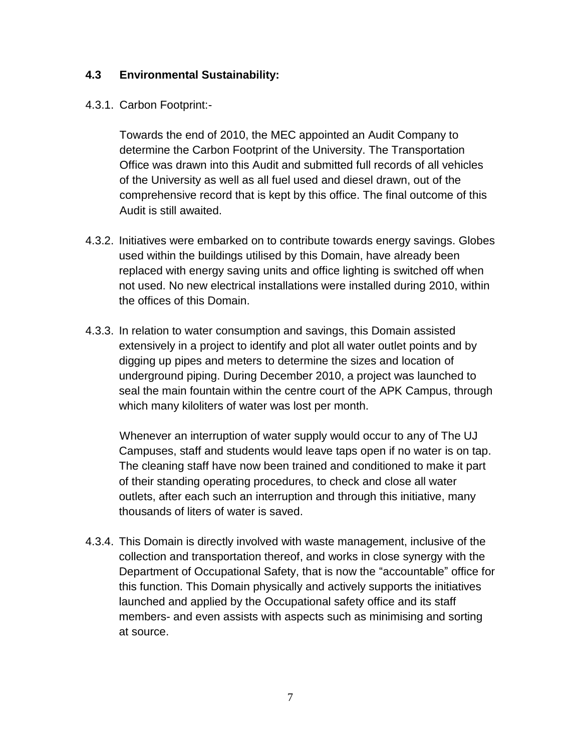### **4.3 Environmental Sustainability:**

#### 4.3.1. Carbon Footprint:-

Towards the end of 2010, the MEC appointed an Audit Company to determine the Carbon Footprint of the University. The Transportation Office was drawn into this Audit and submitted full records of all vehicles of the University as well as all fuel used and diesel drawn, out of the comprehensive record that is kept by this office. The final outcome of this Audit is still awaited.

- 4.3.2. Initiatives were embarked on to contribute towards energy savings. Globes used within the buildings utilised by this Domain, have already been replaced with energy saving units and office lighting is switched off when not used. No new electrical installations were installed during 2010, within the offices of this Domain.
- 4.3.3. In relation to water consumption and savings, this Domain assisted extensively in a project to identify and plot all water outlet points and by digging up pipes and meters to determine the sizes and location of underground piping. During December 2010, a project was launched to seal the main fountain within the centre court of the APK Campus, through which many kiloliters of water was lost per month.

Whenever an interruption of water supply would occur to any of The UJ Campuses, staff and students would leave taps open if no water is on tap. The cleaning staff have now been trained and conditioned to make it part of their standing operating procedures, to check and close all water outlets, after each such an interruption and through this initiative, many thousands of liters of water is saved.

4.3.4. This Domain is directly involved with waste management, inclusive of the collection and transportation thereof, and works in close synergy with the Department of Occupational Safety, that is now the "accountable" office for this function. This Domain physically and actively supports the initiatives launched and applied by the Occupational safety office and its staff members- and even assists with aspects such as minimising and sorting at source.